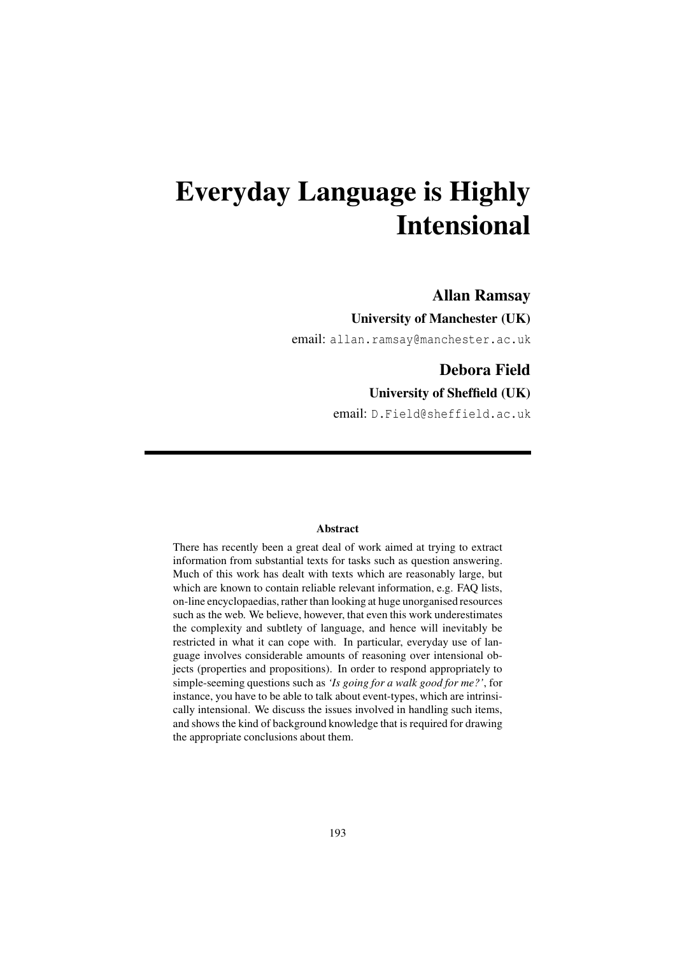# Everyday Language is Highly Intensional

### Allan Ramsay

### University of Manchester (UK)

email: allan.ramsay@manchester.ac.uk

## Debora Field

#### University of Sheffield (UK)

email: D.Field@sheffield.ac.uk

#### Abstract

There has recently been a great deal of work aimed at trying to extract information from substantial texts for tasks such as question answering. Much of this work has dealt with texts which are reasonably large, but which are known to contain reliable relevant information, e.g. FAQ lists, on-line encyclopaedias, rather than looking at huge unorganised resources such as the web. We believe, however, that even this work underestimates the complexity and subtlety of language, and hence will inevitably be restricted in what it can cope with. In particular, everyday use of language involves considerable amounts of reasoning over intensional objects (properties and propositions). In order to respond appropriately to simple-seeming questions such as *'Is going for a walk good for me?'*, for instance, you have to be able to talk about event-types, which are intrinsically intensional. We discuss the issues involved in handling such items, and shows the kind of background knowledge that is required for drawing the appropriate conclusions about them.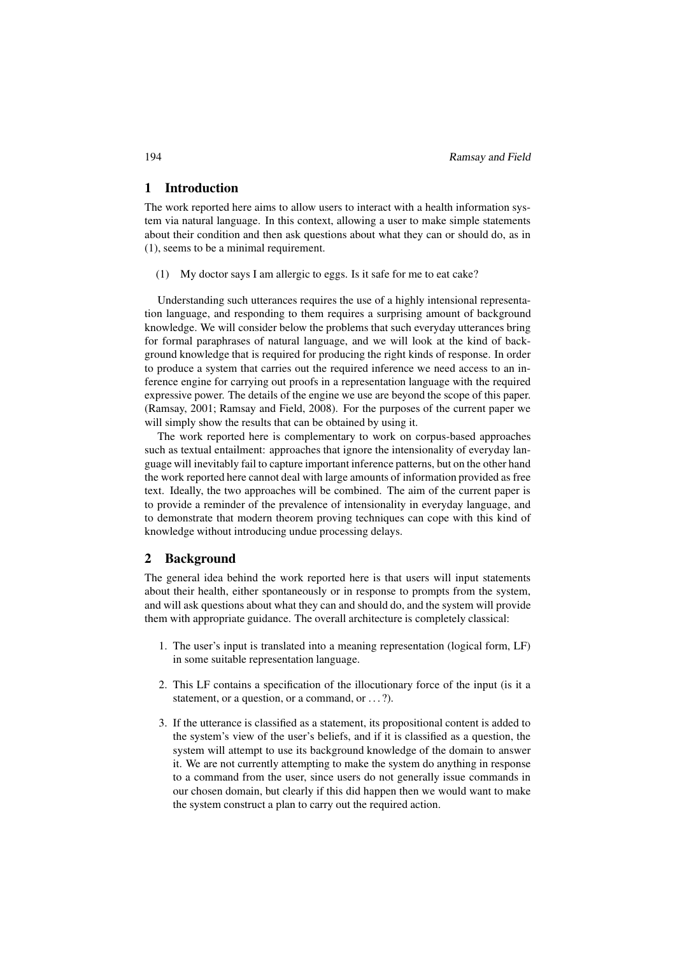#### 1 Introduction

The work reported here aims to allow users to interact with a health information system via natural language. In this context, allowing a user to make simple statements about their condition and then ask questions about what they can or should do, as in (1), seems to be a minimal requirement.

(1) My doctor says I am allergic to eggs. Is it safe for me to eat cake?

Understanding such utterances requires the use of a highly intensional representation language, and responding to them requires a surprising amount of background knowledge. We will consider below the problems that such everyday utterances bring for formal paraphrases of natural language, and we will look at the kind of background knowledge that is required for producing the right kinds of response. In order to produce a system that carries out the required inference we need access to an inference engine for carrying out proofs in a representation language with the required expressive power. The details of the engine we use are beyond the scope of this paper. (Ramsay, 2001; Ramsay and Field, 2008). For the purposes of the current paper we will simply show the results that can be obtained by using it.

The work reported here is complementary to work on corpus-based approaches such as textual entailment: approaches that ignore the intensionality of everyday language will inevitably fail to capture important inference patterns, but on the other hand the work reported here cannot deal with large amounts of information provided as free text. Ideally, the two approaches will be combined. The aim of the current paper is to provide a reminder of the prevalence of intensionality in everyday language, and to demonstrate that modern theorem proving techniques can cope with this kind of knowledge without introducing undue processing delays.

#### 2 Background

The general idea behind the work reported here is that users will input statements about their health, either spontaneously or in response to prompts from the system, and will ask questions about what they can and should do, and the system will provide them with appropriate guidance. The overall architecture is completely classical:

- 1. The user's input is translated into a meaning representation (logical form, LF) in some suitable representation language.
- 2. This LF contains a specification of the illocutionary force of the input (is it a statement, or a question, or a command, or ...?).
- 3. If the utterance is classified as a statement, its propositional content is added to the system's view of the user's beliefs, and if it is classified as a question, the system will attempt to use its background knowledge of the domain to answer it. We are not currently attempting to make the system do anything in response to a command from the user, since users do not generally issue commands in our chosen domain, but clearly if this did happen then we would want to make the system construct a plan to carry out the required action.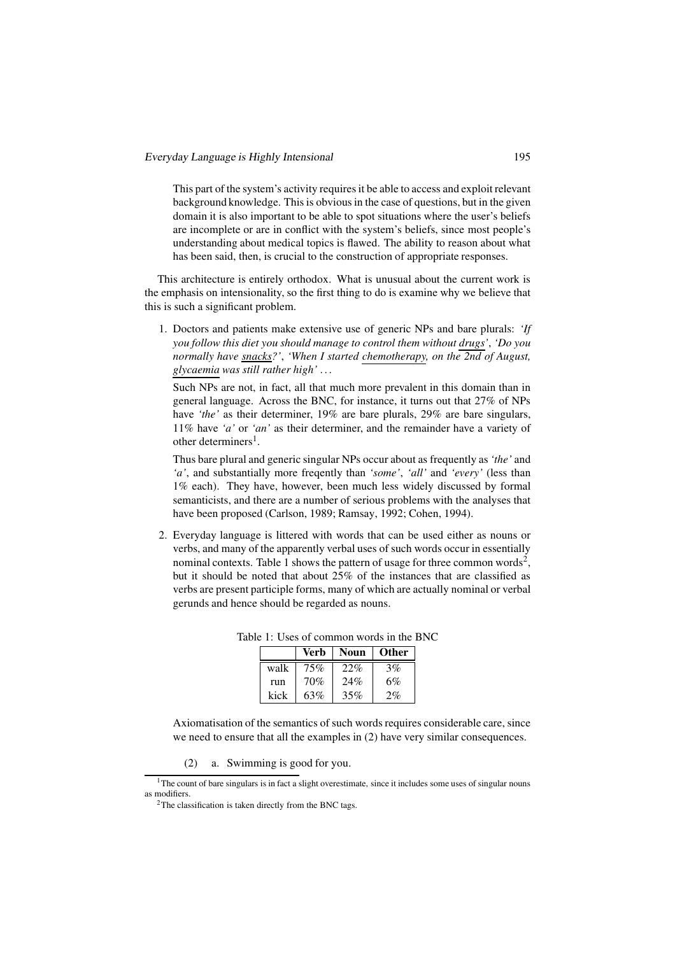This part of the system's activity requires it be able to access and exploit relevant background knowledge. This is obvious in the case of questions, but in the given domain it is also important to be able to spot situations where the user's beliefs are incomplete or are in conflict with the system's beliefs, since most people's understanding about medical topics is flawed. The ability to reason about what has been said, then, is crucial to the construction of appropriate responses.

This architecture is entirely orthodox. What is unusual about the current work is the emphasis on intensionality, so the first thing to do is examine why we believe that this is such a significant problem.

1. Doctors and patients make extensive use of generic NPs and bare plurals: *'If you follow this diet you should manage to control them without drugs'*, *'Do you normally have snacks?'*, *'When I started chemotherapy, on the 2nd of August, glycaemia was still rather high'* . . .

Such NPs are not, in fact, all that much more prevalent in this domain than in general language. Across the BNC, for instance, it turns out that 27% of NPs have *'the'* as their determiner, 19% are bare plurals, 29% are bare singulars, 11% have *'a'* or *'an'* as their determiner, and the remainder have a variety of other determiners<sup>1</sup>.

Thus bare plural and generic singular NPs occur about as frequently as *'the'* and *'a'*, and substantially more freqently than *'some'*, *'all'* and *'every'* (less than 1% each). They have, however, been much less widely discussed by formal semanticists, and there are a number of serious problems with the analyses that have been proposed (Carlson, 1989; Ramsay, 1992; Cohen, 1994).

2. Everyday language is littered with words that can be used either as nouns or verbs, and many of the apparently verbal uses of such words occur in essentially nominal contexts. Table 1 shows the pattern of usage for three common words<sup>2</sup>, but it should be noted that about 25% of the instances that are classified as verbs are present participle forms, many of which are actually nominal or verbal gerunds and hence should be regarded as nouns.

|      | Verb | Noun | <b>Other</b> |
|------|------|------|--------------|
| walk | 75%  | 22%  | 3%           |
| run  | 70%  | 24%  | 6%           |
| kick | 63%  | 35%  | 2%           |

Table 1: Uses of common words in the BNC

Axiomatisation of the semantics of such words requires considerable care, since we need to ensure that all the examples in (2) have very similar consequences.

(2) a. Swimming is good for you.

 $1<sup>1</sup>$ The count of bare singulars is in fact a slight overestimate, since it includes some uses of singular nouns as modifiers.

<sup>&</sup>lt;sup>2</sup>The classification is taken directly from the BNC tags.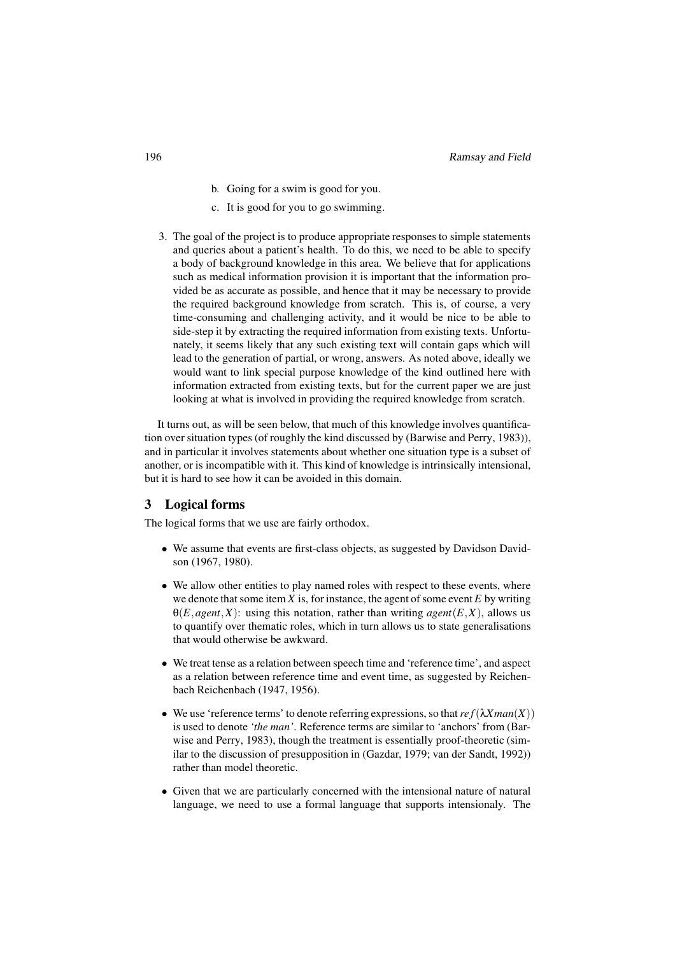- b. Going for a swim is good for you.
- c. It is good for you to go swimming.
- 3. The goal of the project is to produce appropriate responses to simple statements and queries about a patient's health. To do this, we need to be able to specify a body of background knowledge in this area. We believe that for applications such as medical information provision it is important that the information provided be as accurate as possible, and hence that it may be necessary to provide the required background knowledge from scratch. This is, of course, a very time-consuming and challenging activity, and it would be nice to be able to side-step it by extracting the required information from existing texts. Unfortunately, it seems likely that any such existing text will contain gaps which will lead to the generation of partial, or wrong, answers. As noted above, ideally we would want to link special purpose knowledge of the kind outlined here with information extracted from existing texts, but for the current paper we are just looking at what is involved in providing the required knowledge from scratch.

It turns out, as will be seen below, that much of this knowledge involves quantification over situation types (of roughly the kind discussed by (Barwise and Perry, 1983)), and in particular it involves statements about whether one situation type is a subset of another, or is incompatible with it. This kind of knowledge is intrinsically intensional, but it is hard to see how it can be avoided in this domain.

#### 3 Logical forms

The logical forms that we use are fairly orthodox.

- We assume that events are first-class objects, as suggested by Davidson Davidson (1967, 1980).
- We allow other entities to play named roles with respect to these events, where we denote that some item *X* is, for instance, the agent of some event *E* by writing  $\Theta(E, agent, X)$ : using this notation, rather than writing *agent*(*E,X*), allows us to quantify over thematic roles, which in turn allows us to state generalisations that would otherwise be awkward.
- We treat tense as a relation between speech time and 'reference time', and aspect as a relation between reference time and event time, as suggested by Reichenbach Reichenbach (1947, 1956).
- We use 'reference terms' to denote referring expressions, so that  $ref(\lambda Xman(X))$ is used to denote *'the man'*. Reference terms are similar to 'anchors' from (Barwise and Perry, 1983), though the treatment is essentially proof-theoretic (similar to the discussion of presupposition in (Gazdar, 1979; van der Sandt, 1992)) rather than model theoretic.
- Given that we are particularly concerned with the intensional nature of natural language, we need to use a formal language that supports intensionaly. The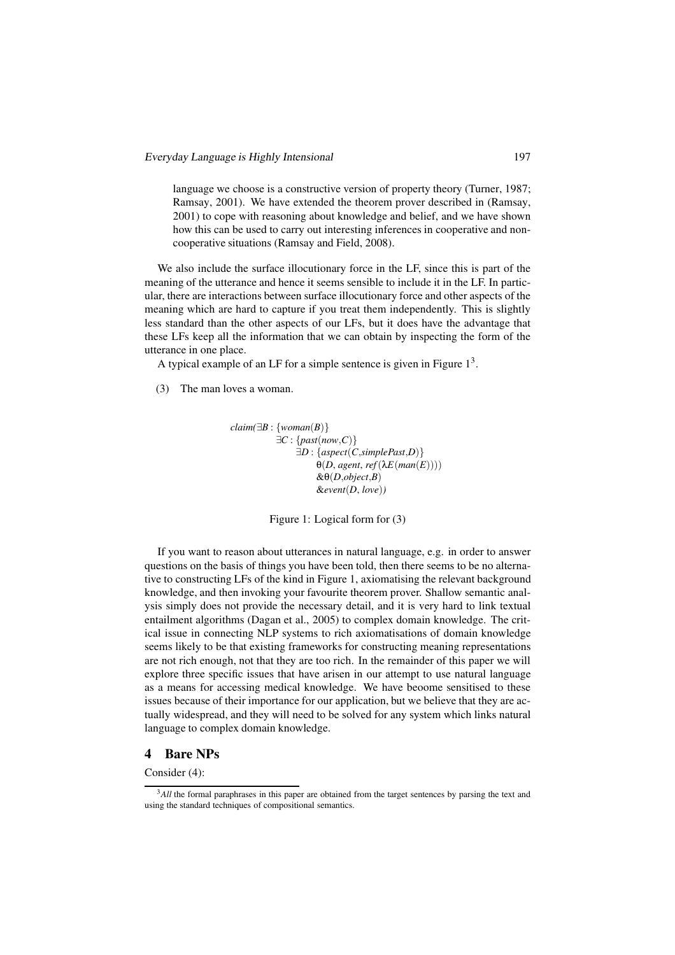language we choose is a constructive version of property theory (Turner, 1987; Ramsay, 2001). We have extended the theorem prover described in (Ramsay, 2001) to cope with reasoning about knowledge and belief, and we have shown how this can be used to carry out interesting inferences in cooperative and noncooperative situations (Ramsay and Field, 2008).

We also include the surface illocutionary force in the LF, since this is part of the meaning of the utterance and hence it seems sensible to include it in the LF. In particular, there are interactions between surface illocutionary force and other aspects of the meaning which are hard to capture if you treat them independently. This is slightly less standard than the other aspects of our LFs, but it does have the advantage that these LFs keep all the information that we can obtain by inspecting the form of the utterance in one place.

A typical example of an LF for a simple sentence is given in Figure  $1<sup>3</sup>$ .

(3) The man loves a woman.

```
claim(∃B : {woman(B)}
       ∃C : {past(now,C)}
            ∃D : {aspect(C,simplePast,D)}
                θ(D, agent, ref(λE(man(E))))
                &θ(D,object,B)
                &event(D, love))
```
Figure 1: Logical form for (3)

If you want to reason about utterances in natural language, e.g. in order to answer questions on the basis of things you have been told, then there seems to be no alternative to constructing LFs of the kind in Figure 1, axiomatising the relevant background knowledge, and then invoking your favourite theorem prover. Shallow semantic analysis simply does not provide the necessary detail, and it is very hard to link textual entailment algorithms (Dagan et al., 2005) to complex domain knowledge. The critical issue in connecting NLP systems to rich axiomatisations of domain knowledge seems likely to be that existing frameworks for constructing meaning representations are not rich enough, not that they are too rich. In the remainder of this paper we will explore three specific issues that have arisen in our attempt to use natural language as a means for accessing medical knowledge. We have beoome sensitised to these issues because of their importance for our application, but we believe that they are actually widespread, and they will need to be solved for any system which links natural language to complex domain knowledge.

#### 4 Bare NPs

Consider (4):

<sup>3</sup>*All* the formal paraphrases in this paper are obtained from the target sentences by parsing the text and using the standard techniques of compositional semantics.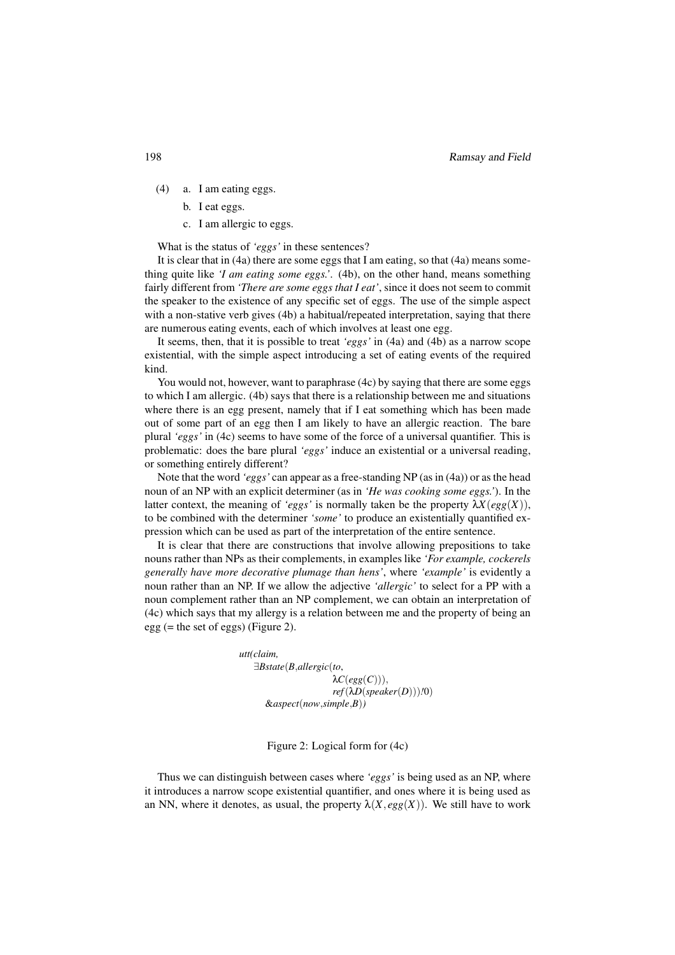- (4) a. I am eating eggs.
	- b. I eat eggs.
	- c. I am allergic to eggs.

What is the status of *'eggs'* in these sentences?

It is clear that in (4a) there are some eggs that I am eating, so that (4a) means something quite like *'I am eating some eggs.'*. (4b), on the other hand, means something fairly different from *'There are some eggs that I eat'*, since it does not seem to commit the speaker to the existence of any specific set of eggs. The use of the simple aspect with a non-stative verb gives (4b) a habitual/repeated interpretation, saying that there are numerous eating events, each of which involves at least one egg.

It seems, then, that it is possible to treat *'eggs'* in (4a) and (4b) as a narrow scope existential, with the simple aspect introducing a set of eating events of the required kind.

You would not, however, want to paraphrase (4c) by saying that there are some eggs to which I am allergic. (4b) says that there is a relationship between me and situations where there is an egg present, namely that if I eat something which has been made out of some part of an egg then I am likely to have an allergic reaction. The bare plural *'eggs'* in (4c) seems to have some of the force of a universal quantifier. This is problematic: does the bare plural *'eggs'* induce an existential or a universal reading, or something entirely different?

Note that the word *'eggs'* can appear as a free-standing NP (as in (4a)) or as the head noun of an NP with an explicit determiner (as in *'He was cooking some eggs.'*). In the latter context, the meaning of *'eggs'* is normally taken be the property  $\lambda X(\text{egg}(X))$ , to be combined with the determiner *'some'* to produce an existentially quantified expression which can be used as part of the interpretation of the entire sentence.

It is clear that there are constructions that involve allowing prepositions to take nouns rather than NPs as their complements, in examples like *'For example, cockerels generally have more decorative plumage than hens'*, where *'example'* is evidently a noun rather than an NP. If we allow the adjective *'allergic'* to select for a PP with a noun complement rather than an NP complement, we can obtain an interpretation of (4c) which says that my allergy is a relation between me and the property of being an egg (= the set of eggs) (Figure 2).

> *utt(claim,* ∃*Bstate*(*B*,*allergic*(*to*,  $\lambda C(egg(C))),$ *ref*(λ*D*(*speaker*(*D*)))*!*0) &*aspect*(*now*,*simple*,*B*)*)*

#### Figure 2: Logical form for (4c)

Thus we can distinguish between cases where *'eggs'* is being used as an NP, where it introduces a narrow scope existential quantifier, and ones where it is being used as an NN, where it denotes, as usual, the property  $\lambda(X,egg(X))$ . We still have to work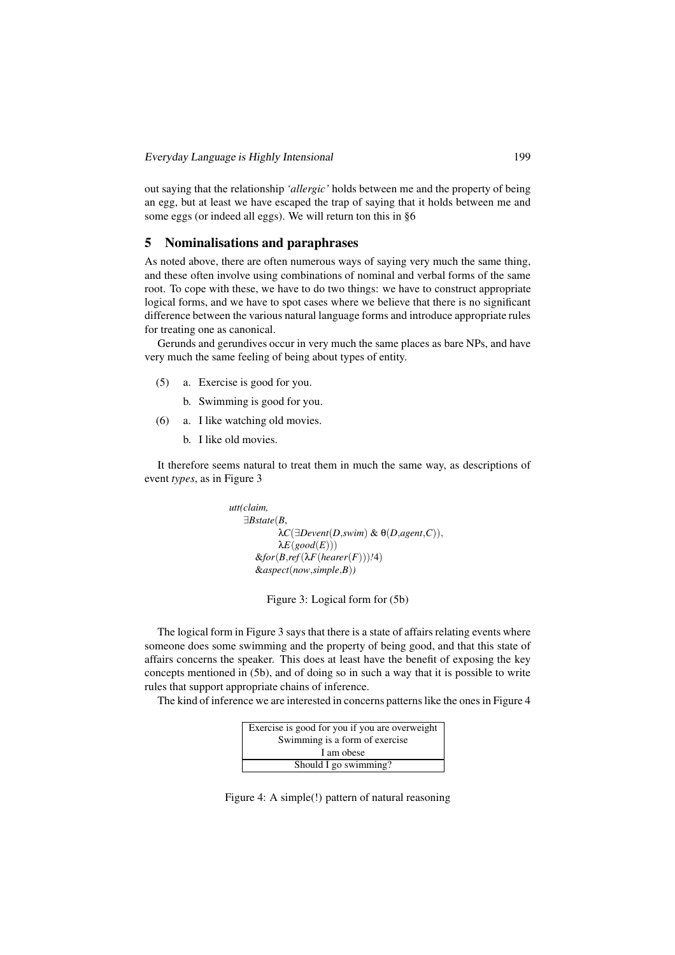out saying that the relationship *'allergic'* holds between me and the property of being an egg, but at least we have escaped the trap of saying that it holds between me and some eggs (or indeed all eggs). We will return ton this in §6

#### 5 Nominalisations and paraphrases

As noted above, there are often numerous ways of saying very much the same thing, and these often involve using combinations of nominal and verbal forms of the same root. To cope with these, we have to do two things: we have to construct appropriate logical forms, and we have to spot cases where we believe that there is no significant difference between the various natural language forms and introduce appropriate rules for treating one as canonical.

Gerunds and gerundives occur in very much the same places as bare NPs, and have very much the same feeling of being about types of entity.

- (5) a. Exercise is good for you.
	- b. Swimming is good for you.
- (6) a. I like watching old movies.
	- b. I like old movies.

It therefore seems natural to treat them in much the same way, as descriptions of event *types*, as in Figure 3

```
utt(claim,
∃Bstate(B,
        λC(∃Devent(D,swim) & θ(D,agent,C)),
        λE(good(E)))\&for(B,ref(\lambda F(hearer(F)))/4)&aspect(now,simple,B))
```
Figure 3: Logical form for (5b)

The logical form in Figure 3 says that there is a state of affairs relating events where someone does some swimming and the property of being good, and that this state of affairs concerns the speaker. This does at least have the benefit of exposing the key concepts mentioned in (5b), and of doing so in such a way that it is possible to write rules that support appropriate chains of inference.

The kind of inference we are interested in concerns patterns like the ones in Figure 4



Figure 4: A simple(!) pattern of natural reasoning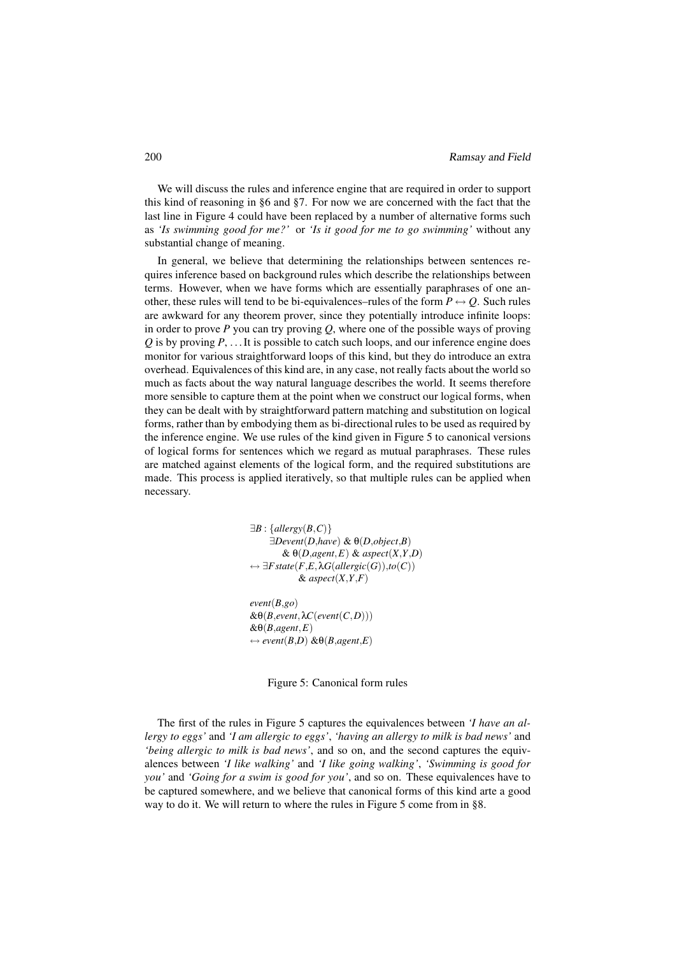We will discuss the rules and inference engine that are required in order to support this kind of reasoning in §6 and §7. For now we are concerned with the fact that the last line in Figure 4 could have been replaced by a number of alternative forms such as *'Is swimming good for me?'* or *'Is it good for me to go swimming'* without any substantial change of meaning.

In general, we believe that determining the relationships between sentences requires inference based on background rules which describe the relationships between terms. However, when we have forms which are essentially paraphrases of one another, these rules will tend to be bi-equivalences–rules of the form  $P \leftrightarrow Q$ . Such rules are awkward for any theorem prover, since they potentially introduce infinite loops: in order to prove *P* you can try proving *Q*, where one of the possible ways of proving *Q* is by proving *P*, ... It is possible to catch such loops, and our inference engine does monitor for various straightforward loops of this kind, but they do introduce an extra overhead. Equivalences of this kind are, in any case, not really facts about the world so much as facts about the way natural language describes the world. It seems therefore more sensible to capture them at the point when we construct our logical forms, when they can be dealt with by straightforward pattern matching and substitution on logical forms, rather than by embodying them as bi-directional rules to be used as required by the inference engine. We use rules of the kind given in Figure 5 to canonical versions of logical forms for sentences which we regard as mutual paraphrases. These rules are matched against elements of the logical form, and the required substitutions are made. This process is applied iteratively, so that multiple rules can be applied when necessary.

> ∃*B* : {*allergy*(*B*,*C*)} <sup>∃</sup>*Devent*(*D*,*have*) & <sup>θ</sup>(*D*,*object*,*B*) & <sup>θ</sup>(*D*,*agent*,*E*) & *aspect*(*X*,*Y*,*D*) ↔ ∃*Fstate*(*F*,*E*,λ*G*(*allergic*(*G*)),*to*(*C*))  $\&$  aspect(*X*,*Y*,*F*) *event*(*B*,*go*)  $&θ(B, event, λC(event(C, D)))$

&θ(*B*,*agent*,*E*)  $\leftrightarrow$  *event*(*B*,*D*) & $\theta$ (*B*,*agent*,*E*)

Figure 5: Canonical form rules

The first of the rules in Figure 5 captures the equivalences between *'I have an allergy to eggs'* and *'I am allergic to eggs'*, *'having an allergy to milk is bad news'* and *'being allergic to milk is bad news'*, and so on, and the second captures the equivalences between *'I like walking'* and *'I like going walking'*, *'Swimming is good for you'* and *'Going for a swim is good for you'*, and so on. These equivalences have to be captured somewhere, and we believe that canonical forms of this kind arte a good way to do it. We will return to where the rules in Figure 5 come from in §8.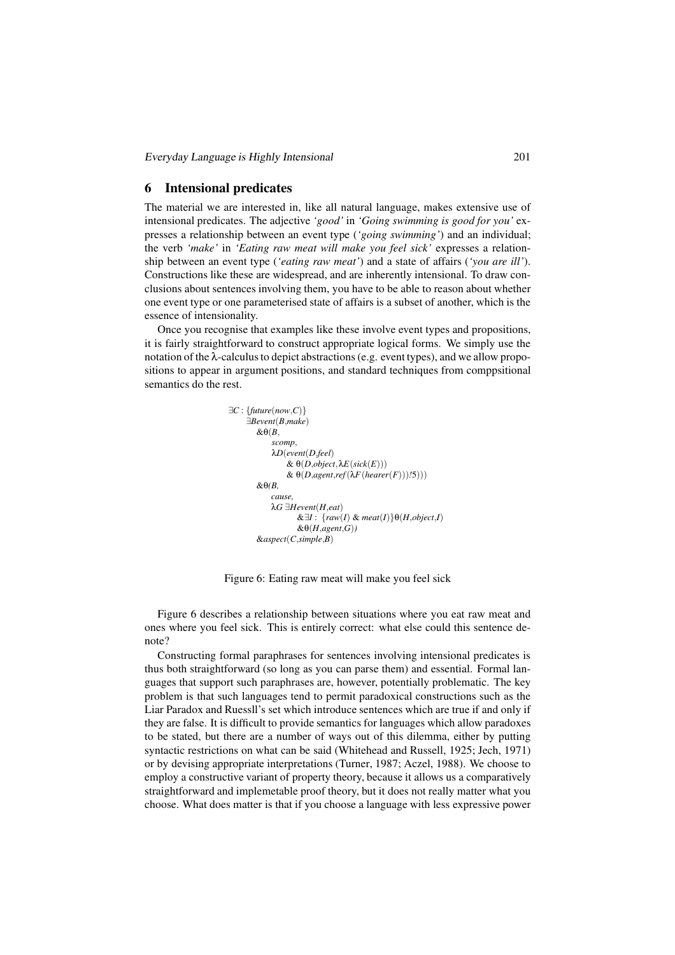Everyday Language is Highly Intensional 201

#### 6 Intensional predicates

The material we are interested in, like all natural language, makes extensive use of intensional predicates. The adjective *'good'* in *'Going swimming is good for you'* expresses a relationship between an event type (*'going swimming'*) and an individual; the verb *'make'* in *'Eating raw meat will make you feel sick'* expresses a relationship between an event type (*'eating raw meat'*) and a state of affairs (*'you are ill'*). Constructions like these are widespread, and are inherently intensional. To draw conclusions about sentences involving them, you have to be able to reason about whether one event type or one parameterised state of affairs is a subset of another, which is the essence of intensionality.

Once you recognise that examples like these involve event types and propositions, it is fairly straightforward to construct appropriate logical forms. We simply use the notation of the λ-calculus to depict abstractions (e.g. event types), and we allow propositions to appear in argument positions, and standard techniques from comppsitional semantics do the rest.

```
∃C : {future(now,C)}
  ∃Bevent(B,make)
    &θ(B,
        scomp,
        λD(event(D,feel)
             & θ(D,object,λE(sick(E)))
             \& \theta(D, agent, ref(\lambda F(hearer(F)))/5)))&θ(B,
         cause,
        λG ∃Hevent(H,eat)
                \&\exists I : {raw(I) & meat(I)}\theta(H,object,I)
                &θ(H,agent,G))
     &aspect(C,simple,B)
```
Figure 6: Eating raw meat will make you feel sick

Figure 6 describes a relationship between situations where you eat raw meat and ones where you feel sick. This is entirely correct: what else could this sentence denote?

Constructing formal paraphrases for sentences involving intensional predicates is thus both straightforward (so long as you can parse them) and essential. Formal languages that support such paraphrases are, however, potentially problematic. The key problem is that such languages tend to permit paradoxical constructions such as the Liar Paradox and Ruessll's set which introduce sentences which are true if and only if they are false. It is difficult to provide semantics for languages which allow paradoxes to be stated, but there are a number of ways out of this dilemma, either by putting syntactic restrictions on what can be said (Whitehead and Russell, 1925; Jech, 1971) or by devising appropriate interpretations (Turner, 1987; Aczel, 1988). We choose to employ a constructive variant of property theory, because it allows us a comparatively straightforward and implemetable proof theory, but it does not really matter what you choose. What does matter is that if you choose a language with less expressive power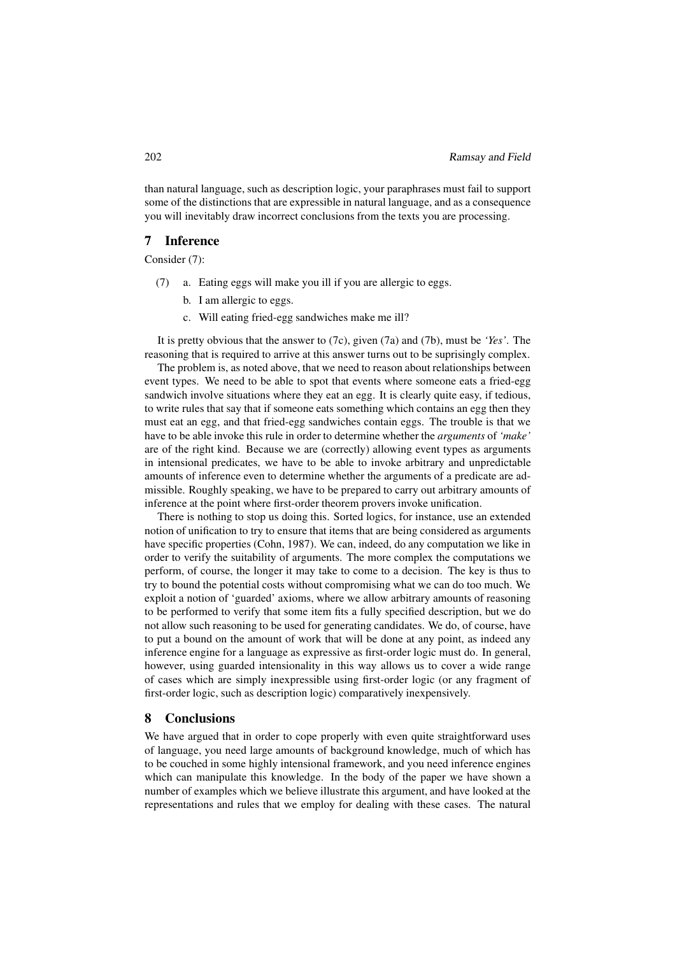than natural language, such as description logic, your paraphrases must fail to support some of the distinctions that are expressible in natural language, and as a consequence you will inevitably draw incorrect conclusions from the texts you are processing.

#### 7 Inference

Consider (7):

- (7) a. Eating eggs will make you ill if you are allergic to eggs.
	- b. I am allergic to eggs.
	- c. Will eating fried-egg sandwiches make me ill?

It is pretty obvious that the answer to (7c), given (7a) and (7b), must be *'Yes'*. The reasoning that is required to arrive at this answer turns out to be suprisingly complex.

The problem is, as noted above, that we need to reason about relationships between event types. We need to be able to spot that events where someone eats a fried-egg sandwich involve situations where they eat an egg. It is clearly quite easy, if tedious, to write rules that say that if someone eats something which contains an egg then they must eat an egg, and that fried-egg sandwiches contain eggs. The trouble is that we have to be able invoke this rule in order to determine whether the *arguments* of *'make'* are of the right kind. Because we are (correctly) allowing event types as arguments in intensional predicates, we have to be able to invoke arbitrary and unpredictable amounts of inference even to determine whether the arguments of a predicate are admissible. Roughly speaking, we have to be prepared to carry out arbitrary amounts of inference at the point where first-order theorem provers invoke unification.

There is nothing to stop us doing this. Sorted logics, for instance, use an extended notion of unification to try to ensure that items that are being considered as arguments have specific properties (Cohn, 1987). We can, indeed, do any computation we like in order to verify the suitability of arguments. The more complex the computations we perform, of course, the longer it may take to come to a decision. The key is thus to try to bound the potential costs without compromising what we can do too much. We exploit a notion of 'guarded' axioms, where we allow arbitrary amounts of reasoning to be performed to verify that some item fits a fully specified description, but we do not allow such reasoning to be used for generating candidates. We do, of course, have to put a bound on the amount of work that will be done at any point, as indeed any inference engine for a language as expressive as first-order logic must do. In general, however, using guarded intensionality in this way allows us to cover a wide range of cases which are simply inexpressible using first-order logic (or any fragment of first-order logic, such as description logic) comparatively inexpensively.

#### 8 Conclusions

We have argued that in order to cope properly with even quite straightforward uses of language, you need large amounts of background knowledge, much of which has to be couched in some highly intensional framework, and you need inference engines which can manipulate this knowledge. In the body of the paper we have shown a number of examples which we believe illustrate this argument, and have looked at the representations and rules that we employ for dealing with these cases. The natural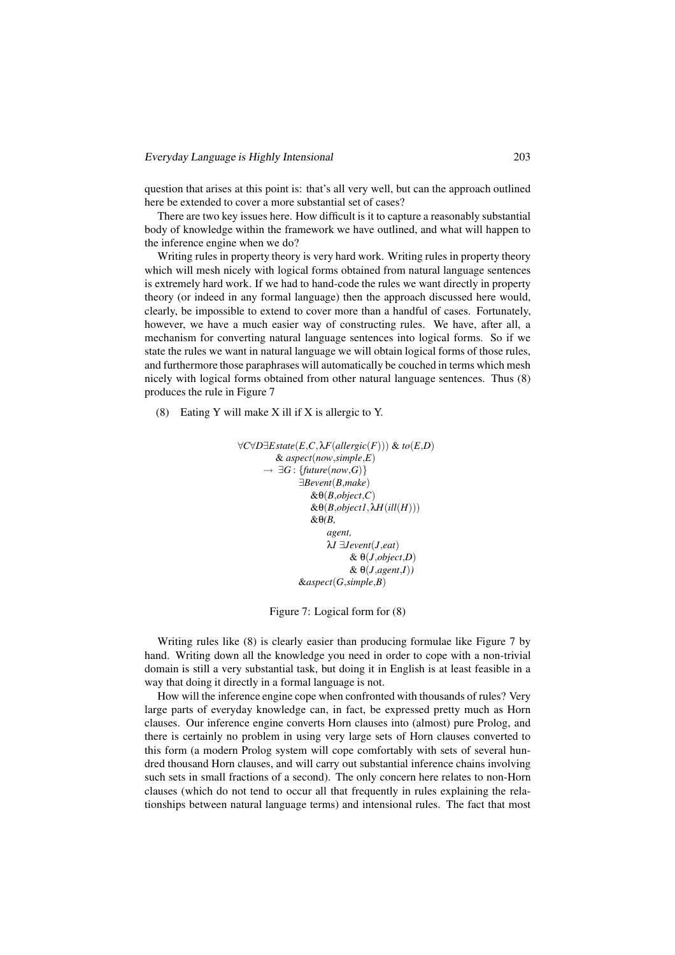question that arises at this point is: that's all very well, but can the approach outlined here be extended to cover a more substantial set of cases?

There are two key issues here. How difficult is it to capture a reasonably substantial body of knowledge within the framework we have outlined, and what will happen to the inference engine when we do?

Writing rules in property theory is very hard work. Writing rules in property theory which will mesh nicely with logical forms obtained from natural language sentences is extremely hard work. If we had to hand-code the rules we want directly in property theory (or indeed in any formal language) then the approach discussed here would, clearly, be impossible to extend to cover more than a handful of cases. Fortunately, however, we have a much easier way of constructing rules. We have, after all, a mechanism for converting natural language sentences into logical forms. So if we state the rules we want in natural language we will obtain logical forms of those rules, and furthermore those paraphrases will automatically be couched in terms which mesh nicely with logical forms obtained from other natural language sentences. Thus (8) produces the rule in Figure 7

(8) Eating Y will make X ill if X is allergic to Y.

```
∀C∀D∃Estate(E,C,λF(allergic(F))) & to(E,D)
      & aspect(now,simple,E)
   \rightarrow \exists G : \{ future(now, G) \}∃Bevent(B,make)
              &θ(B,object,C)
              &θ(B,object1,λH(ill(H)))
              &θ(B,
                  agent,
                   λI ∃Jevent(J,eat)
                        & θ(J,object,D)
                        & θ(J,agent,I))
            &aspect(G,simple,B)
```
Figure 7: Logical form for (8)

Writing rules like (8) is clearly easier than producing formulae like Figure 7 by hand. Writing down all the knowledge you need in order to cope with a non-trivial domain is still a very substantial task, but doing it in English is at least feasible in a way that doing it directly in a formal language is not.

How will the inference engine cope when confronted with thousands of rules? Very large parts of everyday knowledge can, in fact, be expressed pretty much as Horn clauses. Our inference engine converts Horn clauses into (almost) pure Prolog, and there is certainly no problem in using very large sets of Horn clauses converted to this form (a modern Prolog system will cope comfortably with sets of several hundred thousand Horn clauses, and will carry out substantial inference chains involving such sets in small fractions of a second). The only concern here relates to non-Horn clauses (which do not tend to occur all that frequently in rules explaining the relationships between natural language terms) and intensional rules. The fact that most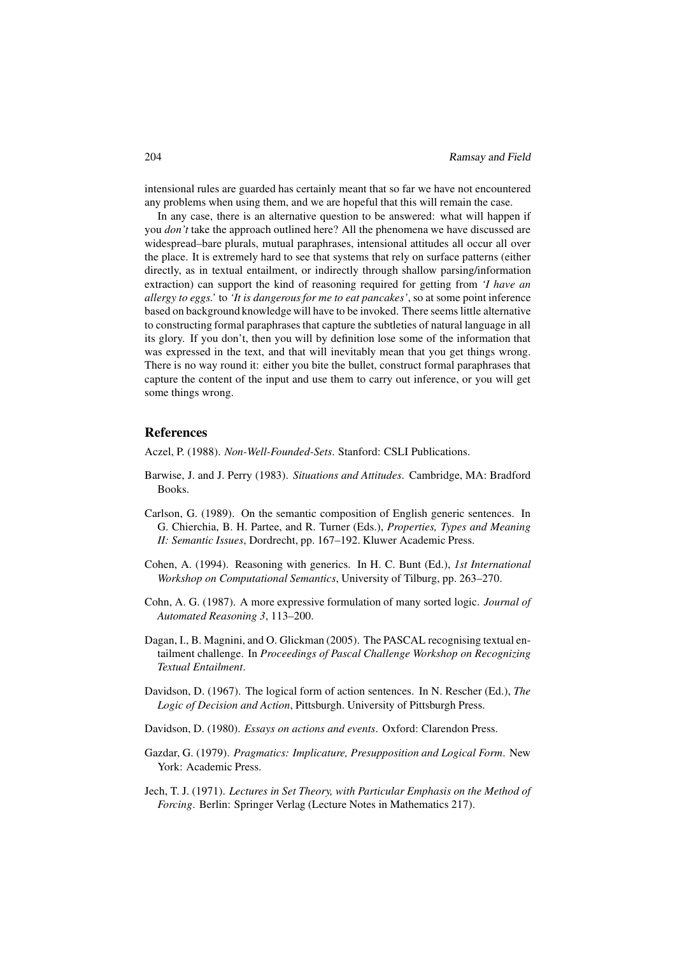intensional rules are guarded has certainly meant that so far we have not encountered any problems when using them, and we are hopeful that this will remain the case.

In any case, there is an alternative question to be answered: what will happen if you *don't* take the approach outlined here? All the phenomena we have discussed are widespread–bare plurals, mutual paraphrases, intensional attitudes all occur all over the place. It is extremely hard to see that systems that rely on surface patterns (either directly, as in textual entailment, or indirectly through shallow parsing/information extraction) can support the kind of reasoning required for getting from *'I have an allergy to eggs.'* to *'It is dangerous for me to eat pancakes'*, so at some point inference based on background knowledge will have to be invoked. There seems little alternative to constructing formal paraphrases that capture the subtleties of natural language in all its glory. If you don't, then you will by definition lose some of the information that was expressed in the text, and that will inevitably mean that you get things wrong. There is no way round it: either you bite the bullet, construct formal paraphrases that capture the content of the input and use them to carry out inference, or you will get some things wrong.

#### References

Aczel, P. (1988). *Non-Well-Founded-Sets*. Stanford: CSLI Publications.

- Barwise, J. and J. Perry (1983). *Situations and Attitudes*. Cambridge, MA: Bradford Books.
- Carlson, G. (1989). On the semantic composition of English generic sentences. In G. Chierchia, B. H. Partee, and R. Turner (Eds.), *Properties, Types and Meaning II: Semantic Issues*, Dordrecht, pp. 167–192. Kluwer Academic Press.
- Cohen, A. (1994). Reasoning with generics. In H. C. Bunt (Ed.), *1st International Workshop on Computational Semantics*, University of Tilburg, pp. 263–270.
- Cohn, A. G. (1987). A more expressive formulation of many sorted logic. *Journal of Automated Reasoning 3*, 113–200.
- Dagan, I., B. Magnini, and O. Glickman (2005). The PASCAL recognising textual entailment challenge. In *Proceedings of Pascal Challenge Workshop on Recognizing Textual Entailment*.
- Davidson, D. (1967). The logical form of action sentences. In N. Rescher (Ed.), *The Logic of Decision and Action*, Pittsburgh. University of Pittsburgh Press.
- Davidson, D. (1980). *Essays on actions and events*. Oxford: Clarendon Press.
- Gazdar, G. (1979). *Pragmatics: Implicature, Presupposition and Logical Form*. New York: Academic Press.
- Jech, T. J. (1971). *Lectures in Set Theory, with Particular Emphasis on the Method of Forcing*. Berlin: Springer Verlag (Lecture Notes in Mathematics 217).